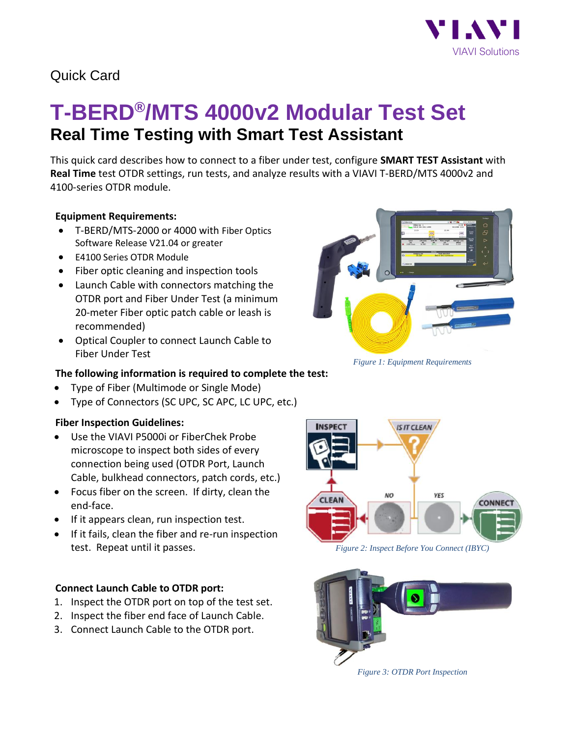

## Quick Card

# **T-BERD®/MTS 4000v2 Modular Test Set Real Time Testing with Smart Test Assistant**

This quick card describes how to connect to a fiber under test, configure **SMART TEST Assistant** with **Real Time** test OTDR settings, run tests, and analyze results with a VIAVI T-BERD/MTS 4000v2 and 4100-series OTDR module.

#### **Equipment Requirements:**

- T-BERD/MTS-2000 or 4000 with Fiber Optics Software Release V21.04 or greater
- E4100 Series OTDR Module
- Fiber optic cleaning and inspection tools
- Launch Cable with connectors matching the OTDR port and Fiber Under Test (a minimum 20-meter Fiber optic patch cable or leash is recommended)
- Optical Coupler to connect Launch Cable to Fiber Under Test



*Figure 1: Equipment Requirements*

#### **The following information is required to complete the test:**

- Type of Fiber (Multimode or Single Mode)
- Type of Connectors (SC UPC, SC APC, LC UPC, etc.)

#### **Fiber Inspection Guidelines:**

- Use the VIAVI P5000i or FiberChek Probe microscope to inspect both sides of every connection being used (OTDR Port, Launch Cable, bulkhead connectors, patch cords, etc.)
- Focus fiber on the screen. If dirty, clean the end-face.
- If it appears clean, run inspection test.
- If it fails, clean the fiber and re-run inspection test. Repeat until it passes. *Figure 2: Inspect Before You Connect (IBYC)*

#### **Connect Launch Cable to OTDR port:**

- 1. Inspect the OTDR port on top of the test set.
- 2. Inspect the fiber end face of Launch Cable.
- 3. Connect Launch Cable to the OTDR port.





*Figure 3: OTDR Port Inspection*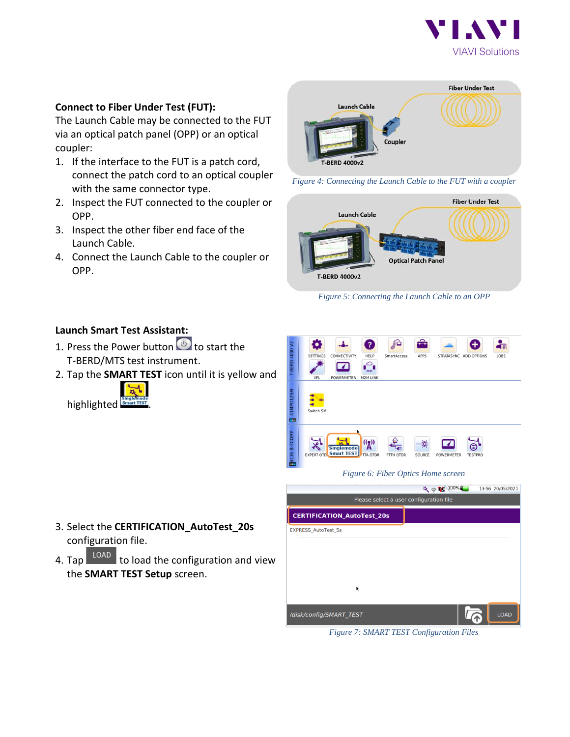

#### **Connect to Fiber Under Test (FUT):**

The Launch Cable may be connected to the FUT via an optical patch panel (OPP) or an optical coupler:

- 1. If the interface to the FUT is a patch cord, connect the patch cord to an optical coupler with the same connector type.
- 2. Inspect the FUT connected to the coupler or OPP.
- 3. Inspect the other fiber end face of the Launch Cable.
- 4. Connect the Launch Cable to the coupler or OPP.



*Figure 4: Connecting the Launch Cable to the FUT with a coupler*



*Figure 5: Connecting the Launch Cable to an OPP*

### **Launch Smart Test Assistant:**

- 1. Press the Power button  $\bullet$  to start the T-BERD/MTS test instrument.
- 2. Tap the **SMART TEST** icon until it is yellow and



configuration file.

CERTIFICATION\_AutoTest\_20s 3. Select the **CERTIFICATION\_AutoTest\_20s** EXPRESS\_AutoTest\_5s

4. Tap  $\begin{array}{|c|c|} \hline \text{LOAD} & \text{to load the configuration and view} \hline \end{array}$ the **SMART TEST Setup** screen.



*Figure 7: SMART TEST Configuration Files*